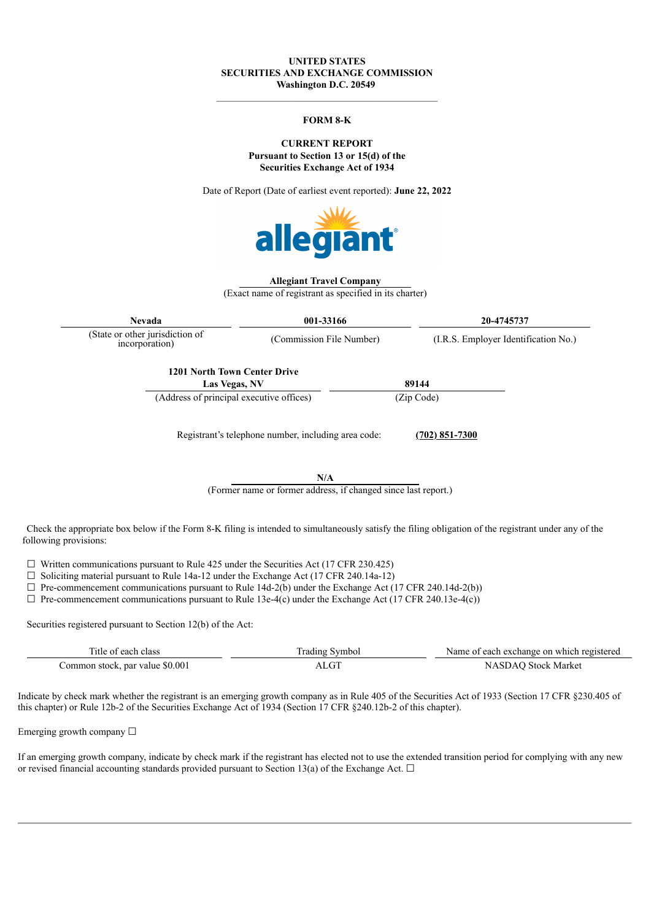#### **UNITED STATES SECURITIES AND EXCHANGE COMMISSION Washington D.C. 20549**

#### **FORM 8-K**

**CURRENT REPORT Pursuant to Section 13 or 15(d) of the Securities Exchange Act of 1934**

Date of Report (Date of earliest event reported): **June 22, 2022**



#### **Allegiant Travel Company**

(Exact name of registrant as specified in its charter)

**Nevada 001-33166 20-4745737** (State or other jurisdiction of incorporation) (Commission File Number) (I.R.S. Employer Identification No.) **1201 North Town Center Drive Las Vegas, NV 89144** (Address of principal executive offices) (Zip Code) Registrant's telephone number, including area code: **(702) 851-7300**

**N/A**

(Former name or former address, if changed since last report.)

Check the appropriate box below if the Form 8-K filing is intended to simultaneously satisfy the filing obligation of the registrant under any of the following provisions:

 $\Box$  Written communications pursuant to Rule 425 under the Securities Act (17 CFR 230.425)

 $\Box$  Soliciting material pursuant to Rule 14a-12 under the Exchange Act (17 CFR 240.14a-12)

 $\Box$  Pre-commencement communications pursuant to Rule 14d-2(b) under the Exchange Act (17 CFR 240.14d-2(b))

 $\Box$  Pre-commencement communications pursuant to Rule 13e-4(c) under the Exchange Act (17 CFR 240.13e-4(c))

Securities registered pursuant to Section 12(b) of the Act:

| class<br>litle of each          | Symbo<br>rading   | Name of each exchange on which registered |
|---------------------------------|-------------------|-------------------------------------------|
| Common stock, par value \$0.001 | $\sqrt{2}$<br>$-$ | Stock Market                              |

Indicate by check mark whether the registrant is an emerging growth company as in Rule 405 of the Securities Act of 1933 (Section 17 CFR §230.405 of this chapter) or Rule 12b-2 of the Securities Exchange Act of 1934 (Section 17 CFR §240.12b-2 of this chapter).

Emerging growth company  $\Box$ 

If an emerging growth company, indicate by check mark if the registrant has elected not to use the extended transition period for complying with any new or revised financial accounting standards provided pursuant to Section 13(a) of the Exchange Act.  $\Box$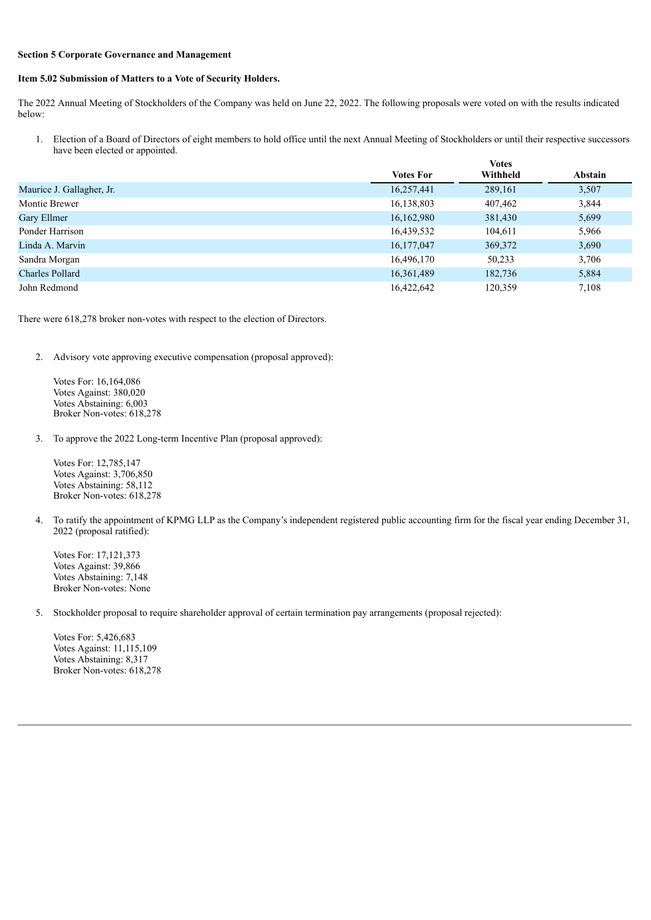### **Section 5 Corporate Governance and Management**

### **Item 5.02 Submission of Matters to a Vote of Security Holders.**

The 2022 Annual Meeting of Stockholders of the Company was held on June 22, 2022. The following proposals were voted on with the results indicated below:

1. Election of a Board of Directors of eight members to hold office until the next Annual Meeting of Stockholders or until their respective successors have been elected or appointed. **Votes**

|                           |            | <b>VULCS</b> |         |  |
|---------------------------|------------|--------------|---------|--|
|                           | Votes For  | Withheld     | Abstain |  |
| Maurice J. Gallagher, Jr. | 16,257,441 | 289,161      | 3,507   |  |
| Montie Brewer             | 16,138,803 | 407,462      | 3,844   |  |
| Gary Ellmer               | 16,162,980 | 381,430      | 5,699   |  |
| Ponder Harrison           | 16,439,532 | 104,611      | 5,966   |  |
| Linda A. Marvin           | 16,177,047 | 369,372      | 3,690   |  |
| Sandra Morgan             | 16,496,170 | 50,233       | 3,706   |  |
| <b>Charles Pollard</b>    | 16,361,489 | 182,736      | 5,884   |  |
| John Redmond              | 16,422,642 | 120,359      | 7,108   |  |

There were 618,278 broker non-votes with respect to the election of Directors.

2. Advisory vote approving executive compensation (proposal approved):

Votes For: 16,164,086 Votes Against: 380,020 Votes Abstaining: 6,003 Broker Non-votes: 618,278

3. To approve the 2022 Long-term Incentive Plan (proposal approved):

Votes For: 12,785,147 Votes Against: 3,706,850 Votes Abstaining: 58,112 Broker Non-votes: 618,278

4. To ratify the appointment of KPMG LLP as the Company's independent registered public accounting firm for the fiscal year ending December 31, 2022 (proposal ratified):

Votes For: 17,121,373 Votes Against: 39,866 Votes Abstaining: 7,148 Broker Non-votes: None

5. Stockholder proposal to require shareholder approval of certain termination pay arrangements (proposal rejected):

Votes For: 5,426,683 Votes Against: 11,115,109 Votes Abstaining: 8,317 Broker Non-votes: 618,278